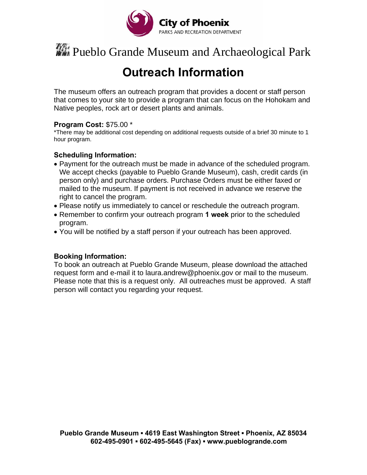

# **With** Pueblo Grande Museum and Archaeological Park

### **Outreach Information**

The museum offers an outreach program that provides a docent or staff person that comes to your site to provide a program that can focus on the Hohokam and Native peoples, rock art or desert plants and animals.

#### **Program Cost:** \$75.00 \*

\*There may be additional cost depending on additional requests outside of a brief 30 minute to 1 hour program.

#### **Scheduling Information:**

- Payment for the outreach must be made in advance of the scheduled program. We accept checks (payable to Pueblo Grande Museum), cash, credit cards (in person only) and purchase orders. Purchase Orders must be either faxed or mailed to the museum. If payment is not received in advance we reserve the right to cancel the program.
- Please notify us immediately to cancel or reschedule the outreach program.
- Remember to confirm your outreach program **1 week** prior to the scheduled program.
- You will be notified by a staff person if your outreach has been approved.

#### **Booking Information:**

To book an outreach at Pueblo Grande Museum, please download the attached request form and e-mail it to laura.andrew@phoenix.gov or mail to the museum. Please note that this is a request only. All outreaches must be approved. A staff person will contact you regarding your request.